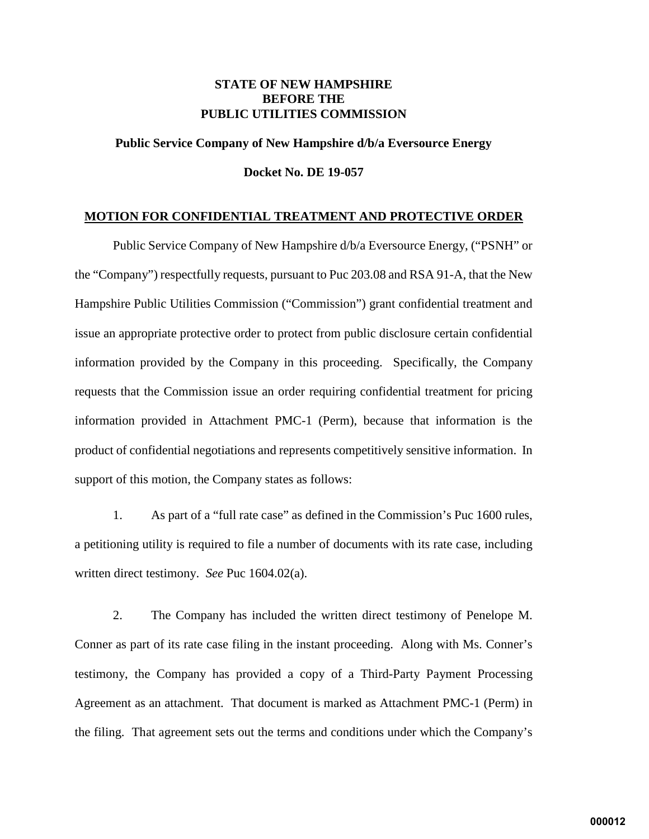### **STATE OF NEW HAMPSHIRE BEFORE THE PUBLIC UTILITIES COMMISSION**

# **Public Service Company of New Hampshire d/b/a Eversource Energy Docket No. DE 19-057**

#### **MOTION FOR CONFIDENTIAL TREATMENT AND PROTECTIVE ORDER**

Public Service Company of New Hampshire d/b/a Eversource Energy, ("PSNH" or the "Company") respectfully requests, pursuant to Puc 203.08 and RSA 91-A, that the New Hampshire Public Utilities Commission ("Commission") grant confidential treatment and issue an appropriate protective order to protect from public disclosure certain confidential information provided by the Company in this proceeding. Specifically, the Company requests that the Commission issue an order requiring confidential treatment for pricing information provided in Attachment PMC-1 (Perm), because that information is the product of confidential negotiations and represents competitively sensitive information. In support of this motion, the Company states as follows:

1. As part of a "full rate case" as defined in the Commission's Puc 1600 rules, a petitioning utility is required to file a number of documents with its rate case, including written direct testimony. *See* Puc 1604.02(a).

2. The Company has included the written direct testimony of Penelope M. Conner as part of its rate case filing in the instant proceeding. Along with Ms. Conner's testimony, the Company has provided a copy of a Third-Party Payment Processing Agreement as an attachment. That document is marked as Attachment PMC-1 (Perm) in the filing. That agreement sets out the terms and conditions under which the Company's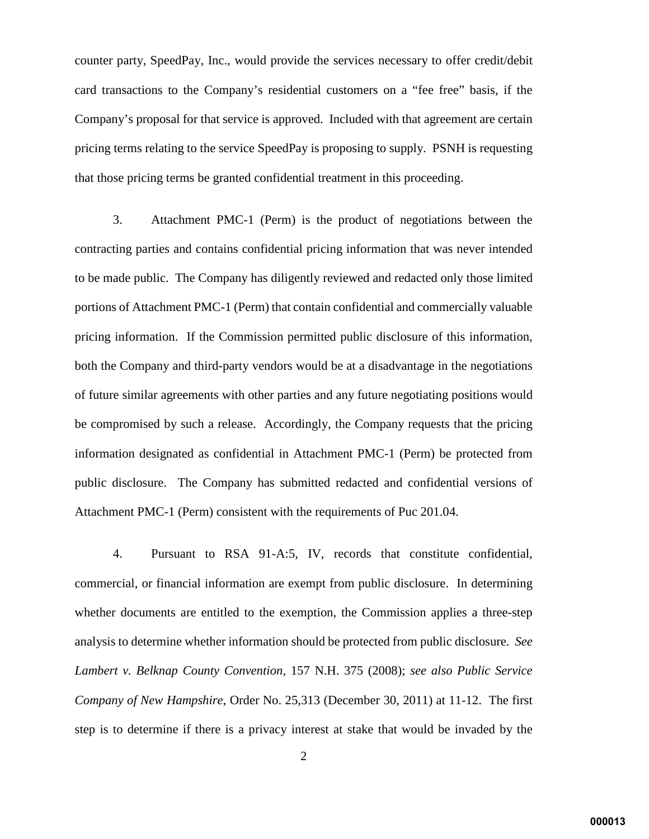counter party, SpeedPay, Inc., would provide the services necessary to offer credit/debit card transactions to the Company's residential customers on a "fee free" basis, if the Company's proposal for that service is approved. Included with that agreement are certain pricing terms relating to the service SpeedPay is proposing to supply. PSNH is requesting that those pricing terms be granted confidential treatment in this proceeding.

3. Attachment PMC-1 (Perm) is the product of negotiations between the contracting parties and contains confidential pricing information that was never intended to be made public. The Company has diligently reviewed and redacted only those limited portions of Attachment PMC-1 (Perm) that contain confidential and commercially valuable pricing information. If the Commission permitted public disclosure of this information, both the Company and third-party vendors would be at a disadvantage in the negotiations of future similar agreements with other parties and any future negotiating positions would be compromised by such a release. Accordingly, the Company requests that the pricing information designated as confidential in Attachment PMC-1 (Perm) be protected from public disclosure. The Company has submitted redacted and confidential versions of Attachment PMC-1 (Perm) consistent with the requirements of Puc 201.04.

4. Pursuant to RSA 91-A:5, IV, records that constitute confidential, commercial, or financial information are exempt from public disclosure. In determining whether documents are entitled to the exemption, the Commission applies a three-step analysis to determine whether information should be protected from public disclosure. *See Lambert v. Belknap County Convention*, 157 N.H. 375 (2008); *see also Public Service Company of New Hampshire*, Order No. 25,313 (December 30, 2011) at 11-12. The first step is to determine if there is a privacy interest at stake that would be invaded by the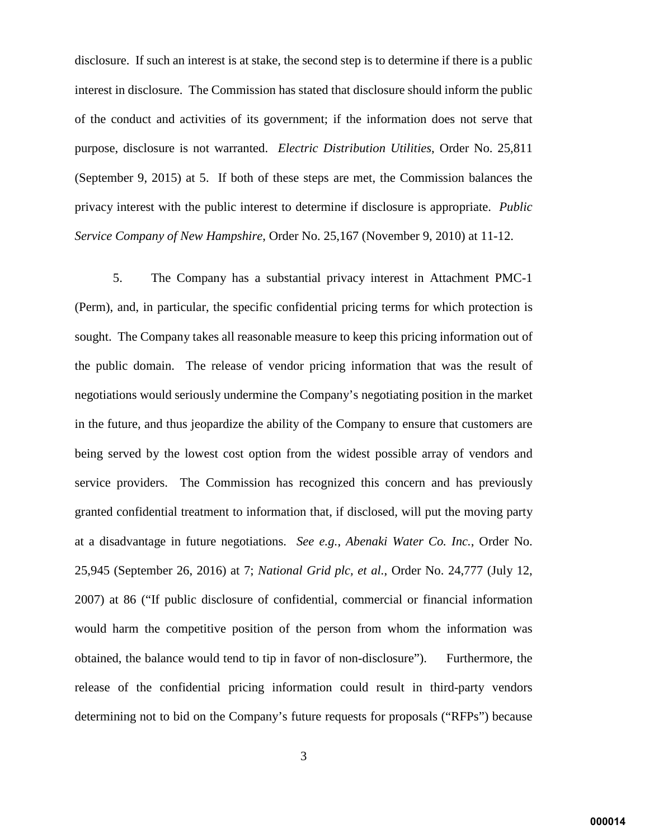disclosure. If such an interest is at stake, the second step is to determine if there is a public interest in disclosure. The Commission has stated that disclosure should inform the public of the conduct and activities of its government; if the information does not serve that purpose, disclosure is not warranted. *Electric Distribution Utilities*, Order No. 25,811 (September 9, 2015) at 5. If both of these steps are met, the Commission balances the privacy interest with the public interest to determine if disclosure is appropriate. *Public Service Company of New Hampshire*, Order No. 25,167 (November 9, 2010) at 11-12.

5. The Company has a substantial privacy interest in Attachment PMC-1 (Perm), and, in particular, the specific confidential pricing terms for which protection is sought. The Company takes all reasonable measure to keep this pricing information out of the public domain. The release of vendor pricing information that was the result of negotiations would seriously undermine the Company's negotiating position in the market in the future, and thus jeopardize the ability of the Company to ensure that customers are being served by the lowest cost option from the widest possible array of vendors and service providers. The Commission has recognized this concern and has previously granted confidential treatment to information that, if disclosed, will put the moving party at a disadvantage in future negotiations. *See e.g.*, *Abenaki Water Co. Inc.*, Order No. 25,945 (September 26, 2016) at 7; *National Grid plc, et al.*, Order No. 24,777 (July 12, 2007) at 86 ("If public disclosure of confidential, commercial or financial information would harm the competitive position of the person from whom the information was obtained, the balance would tend to tip in favor of non-disclosure"). Furthermore, the release of the confidential pricing information could result in third-party vendors determining not to bid on the Company's future requests for proposals ("RFPs") because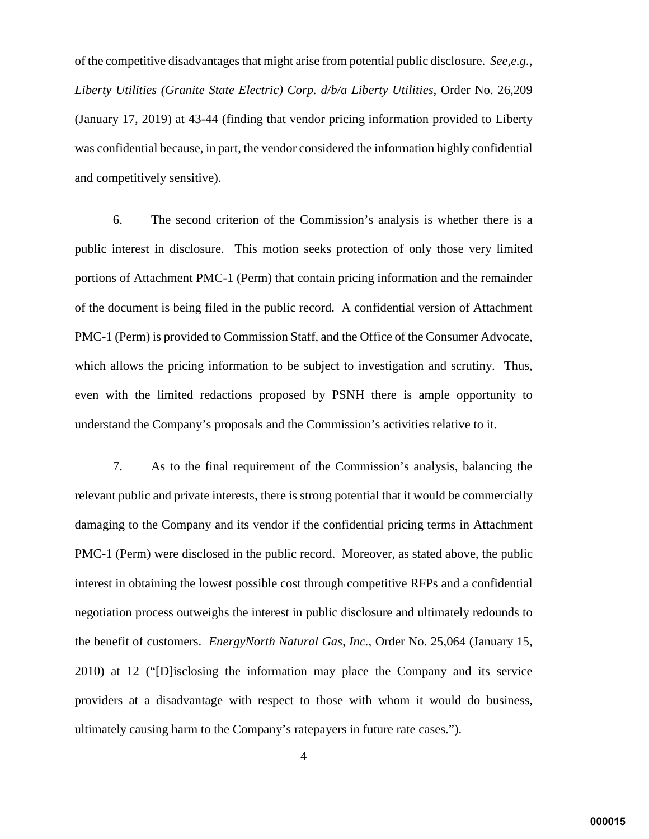of the competitive disadvantages that might arise from potential public disclosure. *See,e.g., Liberty Utilities (Granite State Electric) Corp. d/b/a Liberty Utilities*, Order No. 26,209 (January 17, 2019) at 43-44 (finding that vendor pricing information provided to Liberty was confidential because, in part, the vendor considered the information highly confidential and competitively sensitive).

6. The second criterion of the Commission's analysis is whether there is a public interest in disclosure. This motion seeks protection of only those very limited portions of Attachment PMC-1 (Perm) that contain pricing information and the remainder of the document is being filed in the public record. A confidential version of Attachment PMC-1 (Perm) is provided to Commission Staff, and the Office of the Consumer Advocate, which allows the pricing information to be subject to investigation and scrutiny. Thus, even with the limited redactions proposed by PSNH there is ample opportunity to understand the Company's proposals and the Commission's activities relative to it.

7. As to the final requirement of the Commission's analysis, balancing the relevant public and private interests, there is strong potential that it would be commercially damaging to the Company and its vendor if the confidential pricing terms in Attachment PMC-1 (Perm) were disclosed in the public record. Moreover, as stated above, the public interest in obtaining the lowest possible cost through competitive RFPs and a confidential negotiation process outweighs the interest in public disclosure and ultimately redounds to the benefit of customers. *EnergyNorth Natural Gas, Inc.*, Order No. 25,064 (January 15, 2010) at 12 ("[D]isclosing the information may place the Company and its service providers at a disadvantage with respect to those with whom it would do business, ultimately causing harm to the Company's ratepayers in future rate cases.").